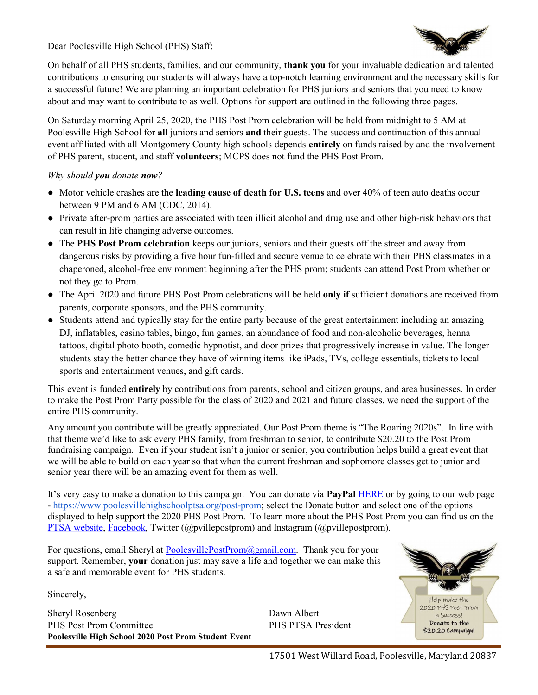Dear Poolesville High School (PHS) Staff:



On behalf of all PHS students, families, and our community, thank you for your invaluable dedication and talented contributions to ensuring our students will always have a top-notch learning environment and the necessary skills for a successful future! We are planning an important celebration for PHS juniors and seniors that you need to know about and may want to contribute to as well. Options for support are outlined in the following three pages.

On Saturday morning April 25, 2020, the PHS Post Prom celebration will be held from midnight to 5 AM at Poolesville High School for all juniors and seniors and their guests. The success and continuation of this annual event affiliated with all Montgomery County high schools depends entirely on funds raised by and the involvement of PHS parent, student, and staff volunteers; MCPS does not fund the PHS Post Prom.

## Why should **you** donate **now**?

- Motor vehicle crashes are the leading cause of death for U.S. teens and over 40% of teen auto deaths occur between 9 PM and 6 AM (CDC, 2014).
- Private after-prom parties are associated with teen illicit alcohol and drug use and other high-risk behaviors that can result in life changing adverse outcomes.
- The PHS Post Prom celebration keeps our juniors, seniors and their guests off the street and away from dangerous risks by providing a five hour fun-filled and secure venue to celebrate with their PHS classmates in a chaperoned, alcohol-free environment beginning after the PHS prom; students can attend Post Prom whether or not they go to Prom.
- The April 2020 and future PHS Post Prom celebrations will be held only if sufficient donations are received from parents, corporate sponsors, and the PHS community.
- Students attend and typically stay for the entire party because of the great entertainment including an amazing DJ, inflatables, casino tables, bingo, fun games, an abundance of food and non-alcoholic beverages, henna tattoos, digital photo booth, comedic hypnotist, and door prizes that progressively increase in value. The longer students stay the better chance they have of winning items like iPads, TVs, college essentials, tickets to local sports and entertainment venues, and gift cards.

This event is funded entirely by contributions from parents, school and citizen groups, and area businesses. In order to make the Post Prom Party possible for the class of 2020 and 2021 and future classes, we need the support of the entire PHS community.

Any amount you contribute will be greatly appreciated. Our Post Prom theme is "The Roaring 2020s". In line with that theme we'd like to ask every PHS family, from freshman to senior, to contribute \$20.20 to the Post Prom fundraising campaign. Even if your student isn't a junior or senior, you contribution helps build a great event that we will be able to build on each year so that when the current freshman and sophomore classes get to junior and senior year there will be an amazing event for them as well.

It's very easy to make a donation to this campaign. You can donate via **PayPal HERE** or by going to our web page - https://www.poolesvillehighschoolptsa.org/post-prom; select the Donate button and select one of the options displayed to help support the 2020 PHS Post Prom. To learn more about the PHS Post Prom you can find us on the PTSA website, Facebook, Twitter (@pvillepostprom) and Instagram (@pvillepostprom).

For questions, email Sheryl at PoolesvillePostProm@gmail.com. Thank you for your support. Remember, your donation just may save a life and together we can make this a safe and memorable event for PHS students.

Sincerely,

Sheryl Rosenberg Dawn Albert PHS Post Prom Committee PHS PTSA President Poolesville High School 2020 Post Prom Student Event



17501 West Willard Road, Poolesville, Maryland 20837